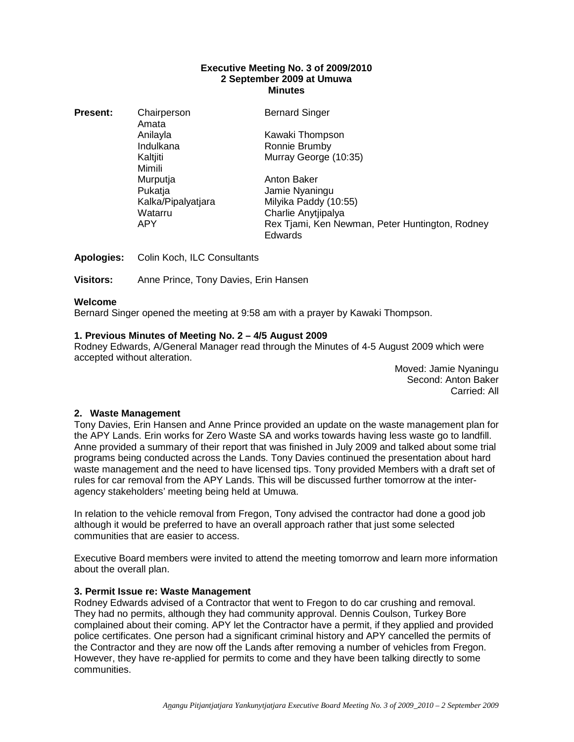#### **Executive Meeting No. 3 of 2009/2010 2 September 2009 at Umuwa Minutes**

**Present:** Chairperson **Bernard Singer** 

Anilayla Kawaki Thompson Indulkana **Ronnie Brumby** Kaltiiti Murray George (10:35) Murputja **Anton Baker** Pukatja Jamie Nyaningu Kalka/Pipalyatjara Milyika Paddy (10:55) Watarru Charlie Anytjipalya Rex Tjami, Ken Newman, Peter Huntington, Rodney Edwards

**Apologies:** Colin Koch, ILC Consultants

Amata

Mimili

**Visitors:** Anne Prince, Tony Davies, Erin Hansen

### **Welcome**

Bernard Singer opened the meeting at 9:58 am with a prayer by Kawaki Thompson.

### **1. Previous Minutes of Meeting No. 2 – 4/5 August 2009**

Rodney Edwards, A/General Manager read through the Minutes of 4-5 August 2009 which were accepted without alteration.

> Moved: Jamie Nyaningu Second: Anton Baker Carried: All

### **2. Waste Management**

Tony Davies, Erin Hansen and Anne Prince provided an update on the waste management plan for the APY Lands. Erin works for Zero Waste SA and works towards having less waste go to landfill. Anne provided a summary of their report that was finished in July 2009 and talked about some trial programs being conducted across the Lands. Tony Davies continued the presentation about hard waste management and the need to have licensed tips. Tony provided Members with a draft set of rules for car removal from the APY Lands. This will be discussed further tomorrow at the interagency stakeholders' meeting being held at Umuwa.

In relation to the vehicle removal from Fregon, Tony advised the contractor had done a good job although it would be preferred to have an overall approach rather that just some selected communities that are easier to access.

Executive Board members were invited to attend the meeting tomorrow and learn more information about the overall plan.

### **3. Permit Issue re: Waste Management**

Rodney Edwards advised of a Contractor that went to Fregon to do car crushing and removal. They had no permits, although they had community approval. Dennis Coulson, Turkey Bore complained about their coming. APY let the Contractor have a permit, if they applied and provided police certificates. One person had a significant criminal history and APY cancelled the permits of the Contractor and they are now off the Lands after removing a number of vehicles from Fregon. However, they have re-applied for permits to come and they have been talking directly to some communities.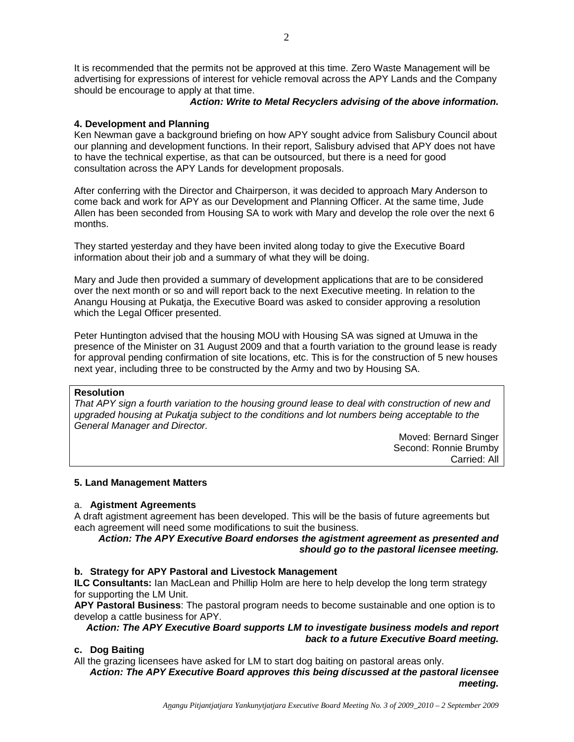It is recommended that the permits not be approved at this time. Zero Waste Management will be advertising for expressions of interest for vehicle removal across the APY Lands and the Company should be encourage to apply at that time.

## **Action: Write to Metal Recyclers advising of the above information.**

## **4. Development and Planning**

Ken Newman gave a background briefing on how APY sought advice from Salisbury Council about our planning and development functions. In their report, Salisbury advised that APY does not have to have the technical expertise, as that can be outsourced, but there is a need for good consultation across the APY Lands for development proposals.

After conferring with the Director and Chairperson, it was decided to approach Mary Anderson to come back and work for APY as our Development and Planning Officer. At the same time, Jude Allen has been seconded from Housing SA to work with Mary and develop the role over the next 6 months.

They started yesterday and they have been invited along today to give the Executive Board information about their job and a summary of what they will be doing.

Mary and Jude then provided a summary of development applications that are to be considered over the next month or so and will report back to the next Executive meeting. In relation to the Anangu Housing at Pukatja, the Executive Board was asked to consider approving a resolution which the Legal Officer presented.

Peter Huntington advised that the housing MOU with Housing SA was signed at Umuwa in the presence of the Minister on 31 August 2009 and that a fourth variation to the ground lease is ready for approval pending confirmation of site locations, etc. This is for the construction of 5 new houses next year, including three to be constructed by the Army and two by Housing SA.

### **Resolution**

That APY sign a fourth variation to the housing ground lease to deal with construction of new and upgraded housing at Pukatja subject to the conditions and lot numbers being acceptable to the General Manager and Director.

> Moved: Bernard Singer Second: Ronnie Brumby Carried: All

### **5. Land Management Matters**

### a. **Agistment Agreements**

A draft agistment agreement has been developed. This will be the basis of future agreements but each agreement will need some modifications to suit the business.

**Action: The APY Executive Board endorses the agistment agreement as presented and should go to the pastoral licensee meeting.** 

### **b. Strategy for APY Pastoral and Livestock Management**

**ILC Consultants:** Ian MacLean and Phillip Holm are here to help develop the long term strategy for supporting the LM Unit.

**APY Pastoral Business**: The pastoral program needs to become sustainable and one option is to develop a cattle business for APY.

# **Action: The APY Executive Board supports LM to investigate business models and report back to a future Executive Board meeting.**

### **c. Dog Baiting**

### All the grazing licensees have asked for LM to start dog baiting on pastoral areas only.

**Action: The APY Executive Board approves this being discussed at the pastoral licensee meeting.**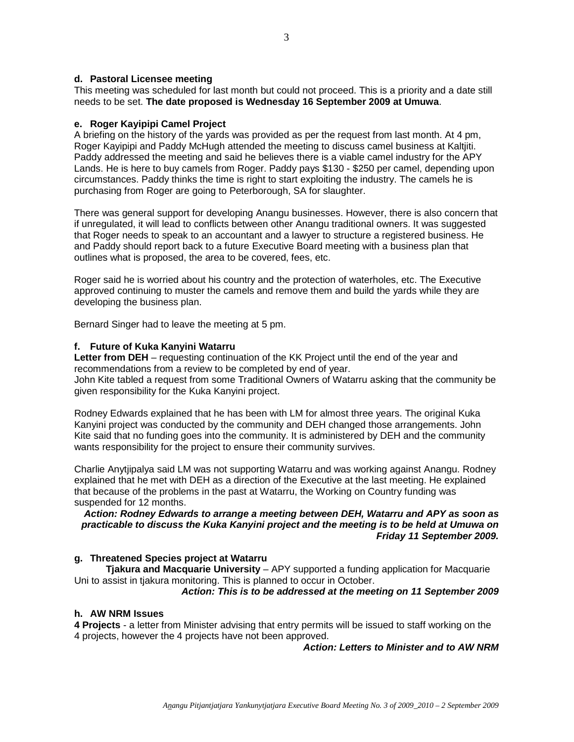### **d. Pastoral Licensee meeting**

This meeting was scheduled for last month but could not proceed. This is a priority and a date still needs to be set. **The date proposed is Wednesday 16 September 2009 at Umuwa**.

### **e. Roger Kayipipi Camel Project**

A briefing on the history of the yards was provided as per the request from last month. At 4 pm, Roger Kayipipi and Paddy McHugh attended the meeting to discuss camel business at Kaltjiti. Paddy addressed the meeting and said he believes there is a viable camel industry for the APY Lands. He is here to buy camels from Roger. Paddy pays \$130 - \$250 per camel, depending upon circumstances. Paddy thinks the time is right to start exploiting the industry. The camels he is purchasing from Roger are going to Peterborough, SA for slaughter.

There was general support for developing Anangu businesses. However, there is also concern that if unregulated, it will lead to conflicts between other Anangu traditional owners. It was suggested that Roger needs to speak to an accountant and a lawyer to structure a registered business. He and Paddy should report back to a future Executive Board meeting with a business plan that outlines what is proposed, the area to be covered, fees, etc.

Roger said he is worried about his country and the protection of waterholes, etc. The Executive approved continuing to muster the camels and remove them and build the yards while they are developing the business plan.

Bernard Singer had to leave the meeting at 5 pm.

### **f. Future of Kuka Kanyini Watarru**

**Letter from DEH** – requesting continuation of the KK Project until the end of the year and recommendations from a review to be completed by end of year. John Kite tabled a request from some Traditional Owners of Watarru asking that the community be given responsibility for the Kuka Kanyini project.

Rodney Edwards explained that he has been with LM for almost three years. The original Kuka Kanyini project was conducted by the community and DEH changed those arrangements. John Kite said that no funding goes into the community. It is administered by DEH and the community wants responsibility for the project to ensure their community survives.

Charlie Anytjipalya said LM was not supporting Watarru and was working against Anangu. Rodney explained that he met with DEH as a direction of the Executive at the last meeting. He explained that because of the problems in the past at Watarru, the Working on Country funding was suspended for 12 months.

# **Action: Rodney Edwards to arrange a meeting between DEH, Watarru and APY as soon as practicable to discuss the Kuka Kanyini project and the meeting is to be held at Umuwa on Friday 11 September 2009.**

### **g. Threatened Species project at Watarru**

**Tjakura and Macquarie University** – APY supported a funding application for Macquarie Uni to assist in tjakura monitoring. This is planned to occur in October.

### **Action: This is to be addressed at the meeting on 11 September 2009**

## **h. AW NRM Issues**

**4 Projects** - a letter from Minister advising that entry permits will be issued to staff working on the 4 projects, however the 4 projects have not been approved.

**Action: Letters to Minister and to AW NRM**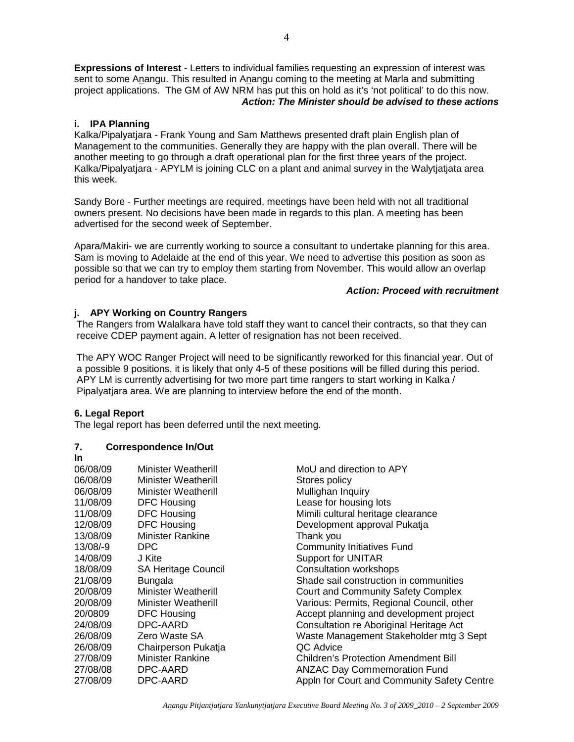**Expressions of Interest** - Letters to individual families requesting an expression of interest was sent to some Anangu. This resulted in Anangu coming to the meeting at Marla and submitting project applications. The GM of AW NRM has put this on hold as it's 'not political' to do this now. **Action: The Minister should be advised to these actions** 

## **i. IPA Planning**

Kalka/Pipalyatjara - Frank Young and Sam Matthews presented draft plain English plan of Management to the communities. Generally they are happy with the plan overall. There will be another meeting to go through a draft operational plan for the first three years of the project. Kalka/Pipalyatjara - APYLM is joining CLC on a plant and animal survey in the Walytjatjata area this week.

Sandy Bore - Further meetings are required, meetings have been held with not all traditional owners present. No decisions have been made in regards to this plan. A meeting has been advertised for the second week of September.

Apara/Makiri- we are currently working to source a consultant to undertake planning for this area. Sam is moving to Adelaide at the end of this year. We need to advertise this position as soon as possible so that we can try to employ them starting from November. This would allow an overlap period for a handover to take place.

### **Action: Proceed with recruitment**

# **j. APY Working on Country Rangers**

The Rangers from Walalkara have told staff they want to cancel their contracts, so that they can receive CDEP payment again. A letter of resignation has not been received.

The APY WOC Ranger Project will need to be significantly reworked for this financial year. Out of a possible 9 positions, it is likely that only 4-5 of these positions will be filled during this period. APY LM is currently advertising for two more part time rangers to start working in Kalka / Pipalyatjara area. We are planning to interview before the end of the month.

# **6. Legal Report**

The legal report has been deferred until the next meeting.

# **7. Correspondence In/Out**

| In.      |                            |                                             |
|----------|----------------------------|---------------------------------------------|
| 06/08/09 | Minister Weatherill        | MoU and direction to APY                    |
| 06/08/09 | Minister Weatherill        | Stores policy                               |
| 06/08/09 | <b>Minister Weatherill</b> | Mullighan Inquiry                           |
| 11/08/09 | <b>DFC Housing</b>         | Lease for housing lots                      |
| 11/08/09 | <b>DFC Housing</b>         | Mimili cultural heritage clearance          |
| 12/08/09 | <b>DFC Housing</b>         | Development approval Pukatja                |
| 13/08/09 | <b>Minister Rankine</b>    | Thank you                                   |
| 13/08/-9 | DPC                        | <b>Community Initiatives Fund</b>           |
| 14/08/09 | J Kite                     | <b>Support for UNITAR</b>                   |
| 18/08/09 | <b>SA Heritage Council</b> | Consultation workshops                      |
| 21/08/09 | <b>Bungala</b>             | Shade sail construction in communities      |
| 20/08/09 | Minister Weatherill        | <b>Court and Community Safety Complex</b>   |
| 20/08/09 | Minister Weatherill        | Various: Permits, Regional Council, other   |
| 20/0809  | <b>DFC Housing</b>         | Accept planning and development project     |
| 24/08/09 | DPC-AARD                   | Consultation re Aboriginal Heritage Act     |
| 26/08/09 | Zero Waste SA              | Waste Management Stakeholder mtg 3 Sept     |
| 26/08/09 | Chairperson Pukatja        | QC Advice                                   |
| 27/08/09 | <b>Minister Rankine</b>    | <b>Children's Protection Amendment Bill</b> |
| 27/08/08 | DPC-AARD                   | <b>ANZAC Day Commemoration Fund</b>         |
| 27/08/09 | DPC-AARD                   | Appln for Court and Community Safety Centre |
|          |                            |                                             |